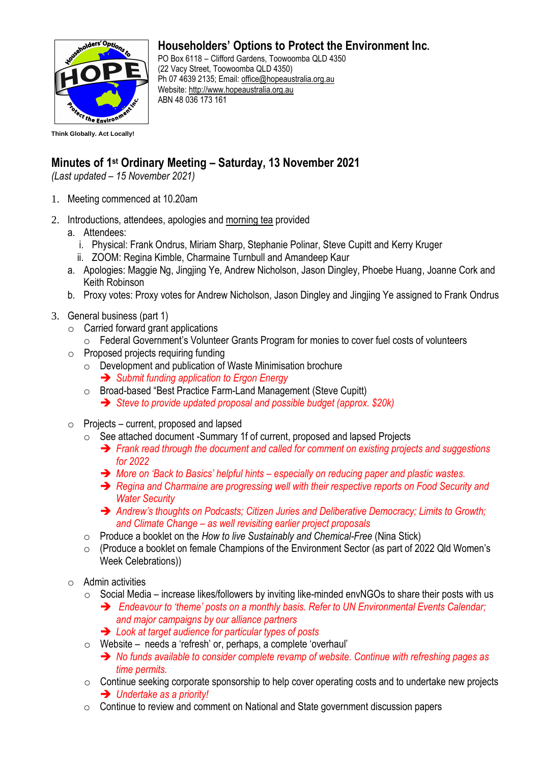

## **Householders' Options to Protect the Environment Inc.**

PO Box 6118 – Clifford Gardens, Toowoomba QLD 4350 (22 Vacy Street, Toowoomba QLD 4350) Ph 07 4639 2135; Email: [office@hopeaustralia.org.au](mailto:office@hopeaustralia.org.au)  Website: [http://www.hopeaustralia.org.au](http://www.hopeaustralia.org.au/) ABN 48 036 173 161

## **Minutes of 1 st Ordinary Meeting – Saturday, 13 November 2021**

*(Last updated – 15 November 2021)*

- 1. Meeting commenced at 10.20am
- 2. Introductions, attendees, apologies and morning tea provided
	- a. Attendees:
		- i. Physical: Frank Ondrus, Miriam Sharp, Stephanie Polinar, Steve Cupitt and Kerry Kruger
		- ii. ZOOM: Regina Kimble, Charmaine Turnbull and Amandeep Kaur
	- a. Apologies: Maggie Ng, Jingjing Ye, Andrew Nicholson, Jason Dingley, Phoebe Huang, Joanne Cork and Keith Robinson
	- b. Proxy votes: Proxy votes for Andrew Nicholson, Jason Dingley and Jingjing Ye assigned to Frank Ondrus
- 3. General business (part 1)
	- o Carried forward grant applications
		- o Federal Government's Volunteer Grants Program for monies to cover fuel costs of volunteers
	- o Proposed projects requiring funding
		- o Development and publication of Waste Minimisation brochure ➔ *Submit funding application to Ergon Energy*
		- o Broad-based "Best Practice Farm-Land Management (Steve Cupitt)
			- ➔ *Steve to provide updated proposal and possible budget (approx. \$20k)*
	- $\circ$  Projects current, proposed and lapsed
		- o See attached document -Summary 1f of current, proposed and lapsed Projects
			- ➔ *Frank read through the document and called for comment on existing projects and suggestions for 2022*
			- ➔ *More on 'Back to Basics' helpful hints – especially on reducing paper and plastic wastes.*
			- ➔ *Regina and Charmaine are progressing well with their respective reports on Food Security and Water Security*
			- ➔ *Andrew's thoughts on Podcasts; Citizen Juries and Deliberative Democracy; Limits to Growth; and Climate Change – as well revisiting earlier project proposals*
		- o Produce a booklet on the *How to live Sustainably and Chemical-Free* (Nina Stick)
		- o (Produce a booklet on female Champions of the Environment Sector (as part of 2022 Qld Women's Week Celebrations))
	- $\circ$  Admin activities
		- $\circ$  Social Media increase likes/followers by inviting like-minded envNGOs to share their posts with us
			- ➔ *Endeavour to 'theme' posts on a monthly basis. Refer to UN Environmental Events Calendar; and major campaigns by our alliance partners*
			- ➔ *Look at target audience for particular types of posts*
		- o Website needs a 'refresh' or, perhaps, a complete 'overhaul'
			- ➔ *No funds available to consider complete revamp of website. Continue with refreshing pages as time permits.*
		- $\circ$  Continue seeking corporate sponsorship to help cover operating costs and to undertake new projects ➔ *Undertake as a priority!*
		- o Continue to review and comment on National and State government discussion papers